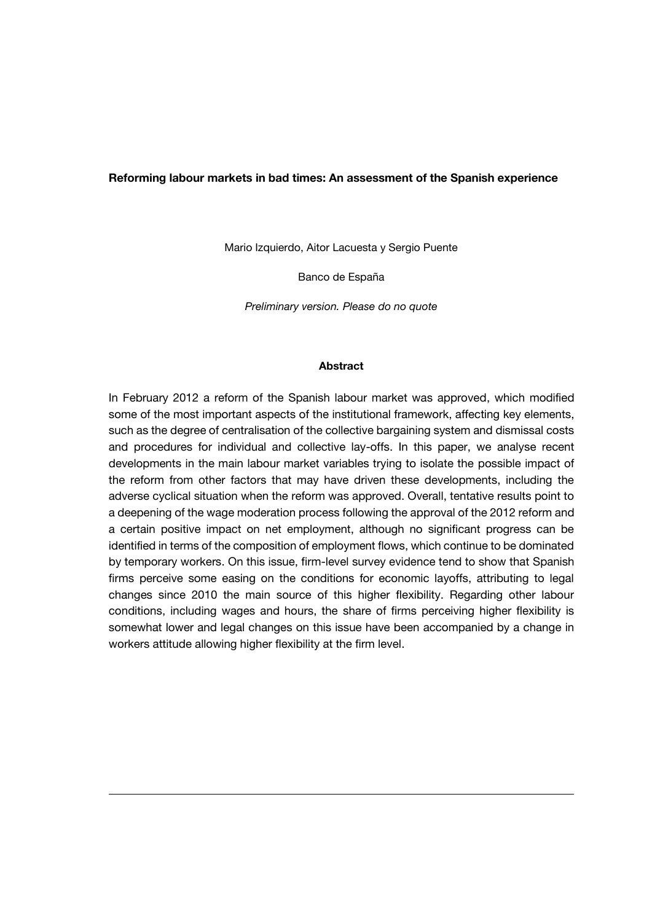#### **Reforming labour markets in bad times: An assessment of the Spanish experience**

Mario Izquierdo, Aitor Lacuesta y Sergio Puente

Banco de España

*Preliminary version. Please do no quote*

#### **Abstract**

In February 2012 a reform of the Spanish labour market was approved, which modified some of the most important aspects of the institutional framework, affecting key elements, such as the degree of centralisation of the collective bargaining system and dismissal costs and procedures for individual and collective lay-offs. In this paper, we analyse recent developments in the main labour market variables trying to isolate the possible impact of the reform from other factors that may have driven these developments, including the adverse cyclical situation when the reform was approved. Overall, tentative results point to a deepening of the wage moderation process following the approval of the 2012 reform and a certain positive impact on net employment, although no significant progress can be identified in terms of the composition of employment flows, which continue to be dominated by temporary workers. On this issue, firm-level survey evidence tend to show that Spanish firms perceive some easing on the conditions for economic layoffs, attributing to legal changes since 2010 the main source of this higher flexibility. Regarding other labour conditions, including wages and hours, the share of firms perceiving higher flexibility is somewhat lower and legal changes on this issue have been accompanied by a change in workers attitude allowing higher flexibility at the firm level.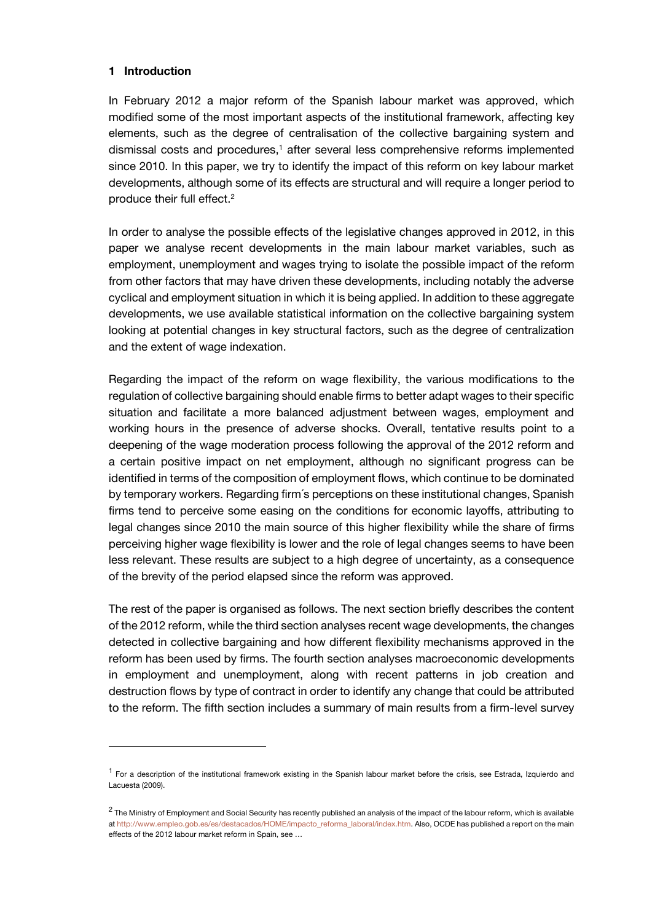### **1 Introduction**

In February 2012 a major reform of the Spanish labour market was approved, which modified some of the most important aspects of the institutional framework, affecting key elements, such as the degree of centralisation of the collective bargaining system and dismissal costs and procedures, <sup>1</sup> after several less comprehensive reforms implemented since 2010. In this paper, we try to identify the impact of this reform on key labour market developments, although some of its effects are structural and will require a longer period to produce their full effect. 2

In order to analyse the possible effects of the legislative changes approved in 2012, in this paper we analyse recent developments in the main labour market variables, such as employment, unemployment and wages trying to isolate the possible impact of the reform from other factors that may have driven these developments, including notably the adverse cyclical and employment situation in which it is being applied. In addition to these aggregate developments, we use available statistical information on the collective bargaining system looking at potential changes in key structural factors, such as the degree of centralization and the extent of wage indexation.

Regarding the impact of the reform on wage flexibility, the various modifications to the regulation of collective bargaining should enable firms to better adapt wages to their specific situation and facilitate a more balanced adjustment between wages, employment and working hours in the presence of adverse shocks. Overall, tentative results point to a deepening of the wage moderation process following the approval of the 2012 reform and a certain positive impact on net employment, although no significant progress can be identified in terms of the composition of employment flows, which continue to be dominated by temporary workers. Regarding firm´s perceptions on these institutional changes, Spanish firms tend to perceive some easing on the conditions for economic layoffs, attributing to legal changes since 2010 the main source of this higher flexibility while the share of firms perceiving higher wage flexibility is lower and the role of legal changes seems to have been less relevant. These results are subject to a high degree of uncertainty, as a consequence of the brevity of the period elapsed since the reform was approved.

The rest of the paper is organised as follows. The next section briefly describes the content of the 2012 reform, while the third section analyses recent wage developments, the changes detected in collective bargaining and how different flexibility mechanisms approved in the reform has been used by firms. The fourth section analyses macroeconomic developments in employment and unemployment, along with recent patterns in job creation and destruction flows by type of contract in order to identify any change that could be attributed to the reform. The fifth section includes a summary of main results from a firm-level survey

<sup>&</sup>lt;sup>1</sup> For a description of the institutional framework existing in the Spanish labour market before the crisis, see Estrada, Izquierdo and Lacuesta (2009).

 $^2$  The Ministry of Employment and Social Security has recently published an analysis of the impact of the labour reform, which is available at [http://www.empleo.gob.es/es/destacados/HOME/impacto\\_reforma\\_laboral/index.htm.](http://www.empleo.gob.es/es/destacados/HOME/impacto_reforma_laboral/index.htm) Also, OCDE has published a report on the main effects of the 2012 labour market reform in Spain, see …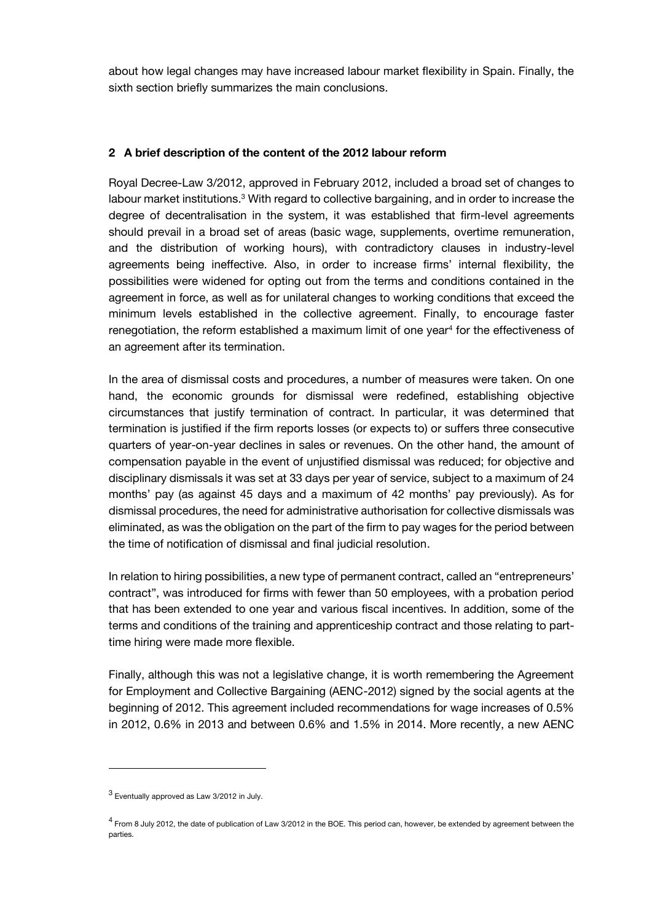about how legal changes may have increased labour market flexibility in Spain. Finally, the sixth section briefly summarizes the main conclusions.

# **2 A brief description of the content of the 2012 labour reform**

Royal Decree-Law 3/2012, approved in February 2012, included a broad set of changes to labour market institutions.<sup>3</sup> With regard to collective bargaining, and in order to increase the degree of decentralisation in the system, it was established that firm-level agreements should prevail in a broad set of areas (basic wage, supplements, overtime remuneration, and the distribution of working hours), with contradictory clauses in industry-level agreements being ineffective. Also, in order to increase firms' internal flexibility, the possibilities were widened for opting out from the terms and conditions contained in the agreement in force, as well as for unilateral changes to working conditions that exceed the minimum levels established in the collective agreement. Finally, to encourage faster renegotiation, the reform established a maximum limit of one year<sup>4</sup> for the effectiveness of an agreement after its termination.

In the area of dismissal costs and procedures, a number of measures were taken. On one hand, the economic grounds for dismissal were redefined, establishing objective circumstances that justify termination of contract. In particular, it was determined that termination is justified if the firm reports losses (or expects to) or suffers three consecutive quarters of year-on-year declines in sales or revenues. On the other hand, the amount of compensation payable in the event of unjustified dismissal was reduced; for objective and disciplinary dismissals it was set at 33 days per year of service, subject to a maximum of 24 months' pay (as against 45 days and a maximum of 42 months' pay previously). As for dismissal procedures, the need for administrative authorisation for collective dismissals was eliminated, as was the obligation on the part of the firm to pay wages for the period between the time of notification of dismissal and final judicial resolution.

In relation to hiring possibilities, a new type of permanent contract, called an "entrepreneurs' contract", was introduced for firms with fewer than 50 employees, with a probation period that has been extended to one year and various fiscal incentives. In addition, some of the terms and conditions of the training and apprenticeship contract and those relating to parttime hiring were made more flexible.

Finally, although this was not a legislative change, it is worth remembering the Agreement for Employment and Collective Bargaining (AENC-2012) signed by the social agents at the beginning of 2012. This agreement included recommendations for wage increases of 0.5% in 2012, 0.6% in 2013 and between 0.6% and 1.5% in 2014. More recently, a new AENC

<sup>&</sup>lt;sup>3</sup> Eventually approved as Law 3/2012 in July.

<sup>&</sup>lt;sup>4</sup> From 8 July 2012, the date of publication of Law 3/2012 in the BOE. This period can, however, be extended by agreement between the parties.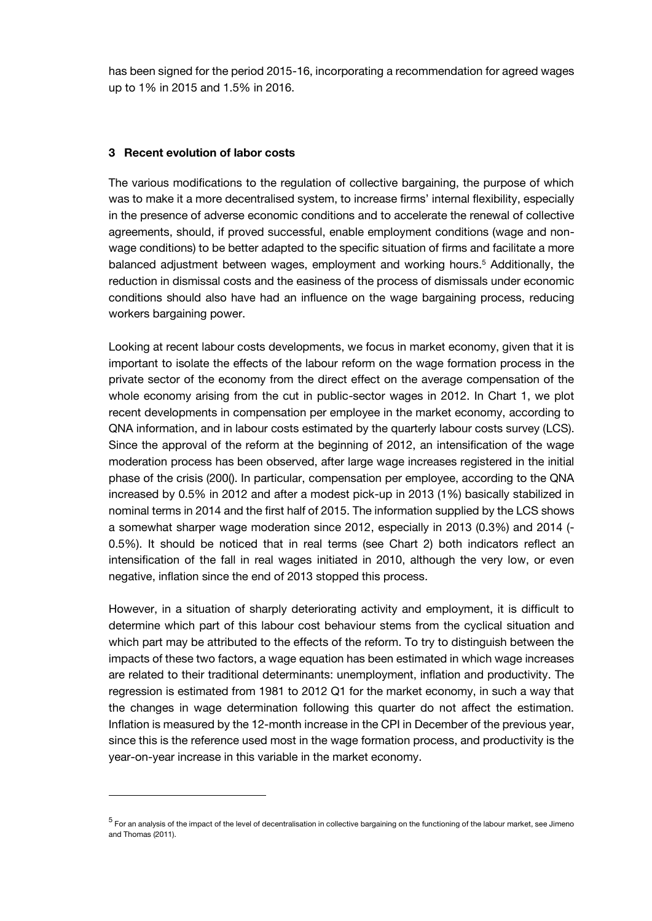has been signed for the period 2015-16, incorporating a recommendation for agreed wages up to 1% in 2015 and 1.5% in 2016.

### **3 Recent evolution of labor costs**

The various modifications to the regulation of collective bargaining, the purpose of which was to make it a more decentralised system, to increase firms' internal flexibility, especially in the presence of adverse economic conditions and to accelerate the renewal of collective agreements, should, if proved successful, enable employment conditions (wage and nonwage conditions) to be better adapted to the specific situation of firms and facilitate a more balanced adjustment between wages, employment and working hours.<sup>5</sup> Additionally, the reduction in dismissal costs and the easiness of the process of dismissals under economic conditions should also have had an influence on the wage bargaining process, reducing workers bargaining power.

Looking at recent labour costs developments, we focus in market economy, given that it is important to isolate the effects of the labour reform on the wage formation process in the private sector of the economy from the direct effect on the average compensation of the whole economy arising from the cut in public-sector wages in 2012. In Chart 1, we plot recent developments in compensation per employee in the market economy, according to QNA information, and in labour costs estimated by the quarterly labour costs survey (LCS). Since the approval of the reform at the beginning of 2012, an intensification of the wage moderation process has been observed, after large wage increases registered in the initial phase of the crisis (200(). In particular, compensation per employee, according to the QNA increased by 0.5% in 2012 and after a modest pick-up in 2013 (1%) basically stabilized in nominal terms in 2014 and the first half of 2015. The information supplied by the LCS shows a somewhat sharper wage moderation since 2012, especially in 2013 (0.3%) and 2014 (- 0.5%). It should be noticed that in real terms (see Chart 2) both indicators reflect an intensification of the fall in real wages initiated in 2010, although the very low, or even negative, inflation since the end of 2013 stopped this process.

However, in a situation of sharply deteriorating activity and employment, it is difficult to determine which part of this labour cost behaviour stems from the cyclical situation and which part may be attributed to the effects of the reform. To try to distinguish between the impacts of these two factors, a wage equation has been estimated in which wage increases are related to their traditional determinants: unemployment, inflation and productivity. The regression is estimated from 1981 to 2012 Q1 for the market economy, in such a way that the changes in wage determination following this quarter do not affect the estimation. Inflation is measured by the 12-month increase in the CPI in December of the previous year, since this is the reference used most in the wage formation process, and productivity is the year-on-year increase in this variable in the market economy.

<sup>&</sup>lt;sup>5</sup> For an analysis of the impact of the level of decentralisation in collective bargaining on the functioning of the labour market, see Jimeno and Thomas (2011).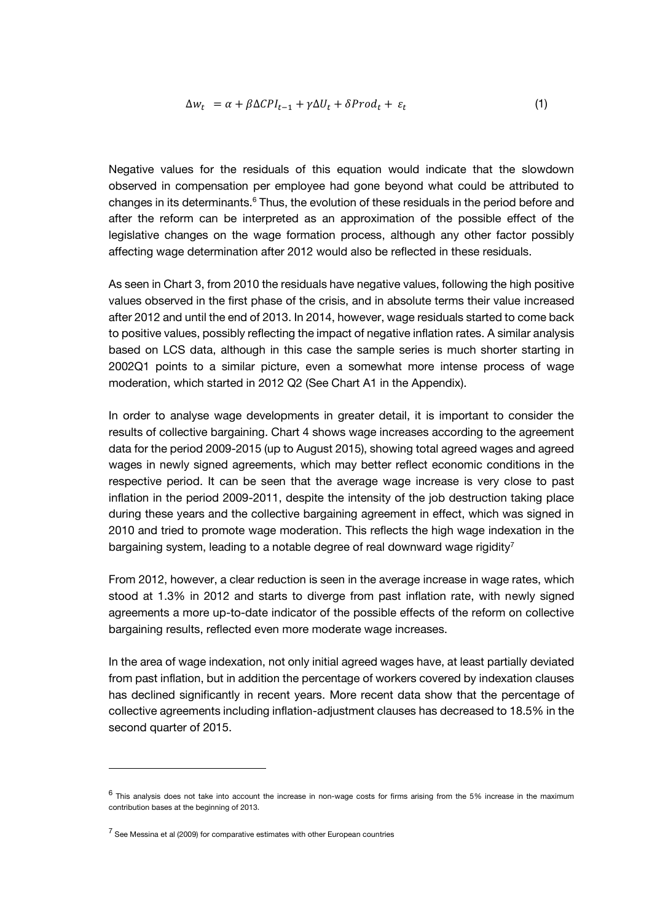$$
\Delta w_t = \alpha + \beta \Delta CPI_{t-1} + \gamma \Delta U_t + \delta Prod_t + \varepsilon_t \tag{1}
$$

Negative values for the residuals of this equation would indicate that the slowdown observed in compensation per employee had gone beyond what could be attributed to changes in its determinants.<sup>6</sup> Thus, the evolution of these residuals in the period before and after the reform can be interpreted as an approximation of the possible effect of the legislative changes on the wage formation process, although any other factor possibly affecting wage determination after 2012 would also be reflected in these residuals.

As seen in Chart 3, from 2010 the residuals have negative values, following the high positive values observed in the first phase of the crisis, and in absolute terms their value increased after 2012 and until the end of 2013. In 2014, however, wage residuals started to come back to positive values, possibly reflecting the impact of negative inflation rates. A similar analysis based on LCS data, although in this case the sample series is much shorter starting in 2002Q1 points to a similar picture, even a somewhat more intense process of wage moderation, which started in 2012 Q2 (See Chart A1 in the Appendix).

In order to analyse wage developments in greater detail, it is important to consider the results of collective bargaining. Chart 4 shows wage increases according to the agreement data for the period 2009-2015 (up to August 2015), showing total agreed wages and agreed wages in newly signed agreements, which may better reflect economic conditions in the respective period. It can be seen that the average wage increase is very close to past inflation in the period 2009-2011, despite the intensity of the job destruction taking place during these years and the collective bargaining agreement in effect, which was signed in 2010 and tried to promote wage moderation. This reflects the high wage indexation in the bargaining system, leading to a notable degree of real downward wage rigidity<sup>7</sup>

From 2012, however, a clear reduction is seen in the average increase in wage rates, which stood at 1.3% in 2012 and starts to diverge from past inflation rate, with newly signed agreements a more up-to-date indicator of the possible effects of the reform on collective bargaining results, reflected even more moderate wage increases.

In the area of wage indexation, not only initial agreed wages have, at least partially deviated from past inflation, but in addition the percentage of workers covered by indexation clauses has declined significantly in recent years. More recent data show that the percentage of collective agreements including inflation-adjustment clauses has decreased to 18.5% in the second quarter of 2015.

 $^6$  This analysis does not take into account the increase in non-wage costs for firms arising from the 5% increase in the maximum contribution bases at the beginning of 2013.

 $<sup>7</sup>$  See Messina et al (2009) for comparative estimates with other European countries</sup>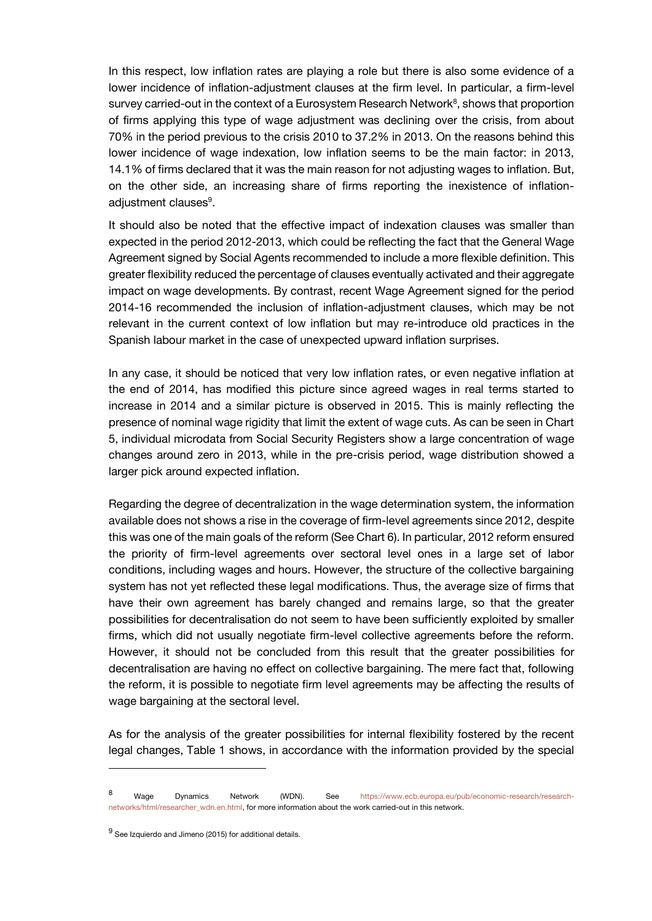In this respect, low inflation rates are playing a role but there is also some evidence of a lower incidence of inflation-adjustment clauses at the firm level. In particular, a firm-level survey carried-out in the context of a Eurosystem Research Network<sup>8</sup>, shows that proportion of firms applying this type of wage adjustment was declining over the crisis, from about 70% in the period previous to the crisis 2010 to 37.2% in 2013. On the reasons behind this lower incidence of wage indexation, low inflation seems to be the main factor: in 2013, 14.1% of firms declared that it was the main reason for not adjusting wages to inflation. But, on the other side, an increasing share of firms reporting the inexistence of inflationadjustment clauses<sup>9</sup>.

It should also be noted that the effective impact of indexation clauses was smaller than expected in the period 2012-2013, which could be reflecting the fact that the General Wage Agreement signed by Social Agents recommended to include a more flexible definition. This greater flexibility reduced the percentage of clauses eventually activated and their aggregate impact on wage developments. By contrast, recent Wage Agreement signed for the period 2014-16 recommended the inclusion of inflation-adjustment clauses, which may be not relevant in the current context of low inflation but may re-introduce old practices in the Spanish labour market in the case of unexpected upward inflation surprises.

In any case, it should be noticed that very low inflation rates, or even negative inflation at the end of 2014, has modified this picture since agreed wages in real terms started to increase in 2014 and a similar picture is observed in 2015. This is mainly reflecting the presence of nominal wage rigidity that limit the extent of wage cuts. As can be seen in Chart 5, individual microdata from Social Security Registers show a large concentration of wage changes around zero in 2013, while in the pre-crisis period, wage distribution showed a larger pick around expected inflation.

Regarding the degree of decentralization in the wage determination system, the information available does not shows a rise in the coverage of firm-level agreements since 2012, despite this was one of the main goals of the reform (See Chart 6). In particular, 2012 reform ensured the priority of firm-level agreements over sectoral level ones in a large set of labor conditions, including wages and hours. However, the structure of the collective bargaining system has not yet reflected these legal modifications. Thus, the average size of firms that have their own agreement has barely changed and remains large, so that the greater possibilities for decentralisation do not seem to have been sufficiently exploited by smaller firms, which did not usually negotiate firm-level collective agreements before the reform. However, it should not be concluded from this result that the greater possibilities for decentralisation are having no effect on collective bargaining. The mere fact that, following the reform, it is possible to negotiate firm level agreements may be affecting the results of wage bargaining at the sectoral level.

As for the analysis of the greater possibilities for internal flexibility fostered by the recent legal changes, Table 1 shows, in accordance with the information provided by the special

 $^{9}$  See Izquierdo and Jimeno (2015) for additional details.

<sup>8</sup> Wage Dynamics Network (WDN). See [https://www.ecb.europa.eu/pub/economic-research/research](https://www.ecb.europa.eu/pub/economic-research/research-networks/html/researcher_wdn.en.html)[networks/html/researcher\\_wdn.en.html,](https://www.ecb.europa.eu/pub/economic-research/research-networks/html/researcher_wdn.en.html) for more information about the work carried-out in this network.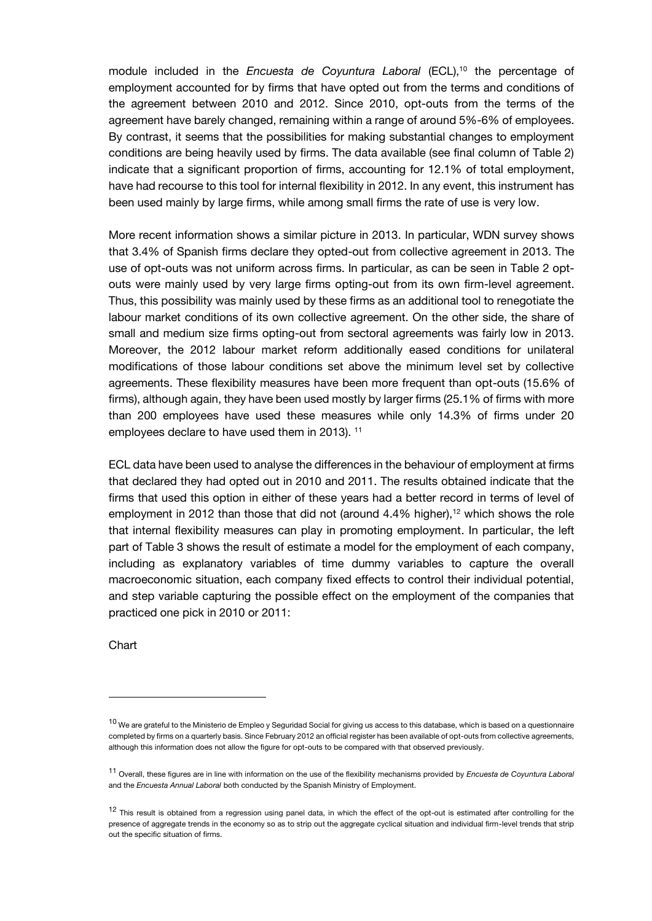module included in the *Encuesta de Coyuntura Laboral* (ECL),<sup>10</sup> the percentage of employment accounted for by firms that have opted out from the terms and conditions of the agreement between 2010 and 2012. Since 2010, opt-outs from the terms of the agreement have barely changed, remaining within a range of around 5%-6% of employees. By contrast, it seems that the possibilities for making substantial changes to employment conditions are being heavily used by firms. The data available (see final column of Table 2) indicate that a significant proportion of firms, accounting for 12.1% of total employment, have had recourse to this tool for internal flexibility in 2012. In any event, this instrument has been used mainly by large firms, while among small firms the rate of use is very low.

More recent information shows a similar picture in 2013. In particular, WDN survey shows that 3.4% of Spanish firms declare they opted-out from collective agreement in 2013. The use of opt-outs was not uniform across firms. In particular, as can be seen in Table 2 optouts were mainly used by very large firms opting-out from its own firm-level agreement. Thus, this possibility was mainly used by these firms as an additional tool to renegotiate the labour market conditions of its own collective agreement. On the other side, the share of small and medium size firms opting-out from sectoral agreements was fairly low in 2013. Moreover, the 2012 labour market reform additionally eased conditions for unilateral modifications of those labour conditions set above the minimum level set by collective agreements. These flexibility measures have been more frequent than opt-outs (15.6% of firms), although again, they have been used mostly by larger firms (25.1% of firms with more than 200 employees have used these measures while only 14.3% of firms under 20 employees declare to have used them in 2013). <sup>11</sup>

ECL data have been used to analyse the differences in the behaviour of employment at firms that declared they had opted out in 2010 and 2011. The results obtained indicate that the firms that used this option in either of these years had a better record in terms of level of employment in 2012 than those that did not (around  $4.4\%$  higher),<sup>12</sup> which shows the role that internal flexibility measures can play in promoting employment. In particular, the left part of Table 3 shows the result of estimate a model for the employment of each company, including as explanatory variables of time dummy variables to capture the overall macroeconomic situation, each company fixed effects to control their individual potential, and step variable capturing the possible effect on the employment of the companies that practiced one pick in 2010 or 2011:

**Chart** 

<sup>&</sup>lt;sup>10</sup> We are grateful to the Ministerio de Empleo y Seguridad Social for giving us access to this database, which is based on a questionnaire completed by firms on a quarterly basis. Since February 2012 an official register has been available of opt-outs from collective agreements, although this information does not allow the figure for opt-outs to be compared with that observed previously.

<sup>11</sup> Overall, these figures are in line with information on the use of the flexibility mechanisms provided by *Encuesta de Coyuntura Laboral* and the *Encuesta Annual Laboral* both conducted by the Spanish Ministry of Employment.

<sup>12</sup> This result is obtained from a regression using panel data, in which the effect of the opt-out is estimated after controlling for the presence of aggregate trends in the economy so as to strip out the aggregate cyclical situation and individual firm-level trends that strip out the specific situation of firms.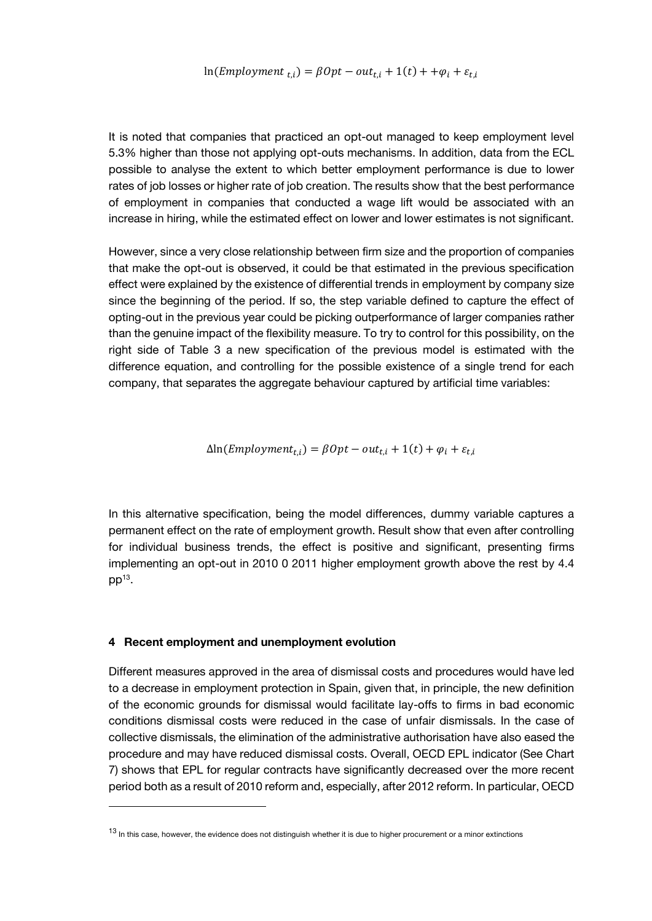It is noted that companies that practiced an opt-out managed to keep employment level 5.3% higher than those not applying opt-outs mechanisms. In addition, data from the ECL possible to analyse the extent to which better employment performance is due to lower rates of job losses or higher rate of job creation. The results show that the best performance of employment in companies that conducted a wage lift would be associated with an increase in hiring, while the estimated effect on lower and lower estimates is not significant.

However, since a very close relationship between firm size and the proportion of companies that make the opt-out is observed, it could be that estimated in the previous specification effect were explained by the existence of differential trends in employment by company size since the beginning of the period. If so, the step variable defined to capture the effect of opting-out in the previous year could be picking outperformance of larger companies rather than the genuine impact of the flexibility measure. To try to control for this possibility, on the right side of Table 3 a new specification of the previous model is estimated with the difference equation, and controlling for the possible existence of a single trend for each company, that separates the aggregate behaviour captured by artificial time variables:

 $\Delta$ ln(*Employment<sub>t,i</sub>*) =  $\beta Opt - out_{t,i} + 1(t) + \varphi_i + \varepsilon_{t,i}$ 

In this alternative specification, being the model differences, dummy variable captures a permanent effect on the rate of employment growth. Result show that even after controlling for individual business trends, the effect is positive and significant, presenting firms implementing an opt-out in 2010 0 2011 higher employment growth above the rest by 4.4  $pp^{13}$ .

### **4 Recent employment and unemployment evolution**

Different measures approved in the area of dismissal costs and procedures would have led to a decrease in employment protection in Spain, given that, in principle, the new definition of the economic grounds for dismissal would facilitate lay-offs to firms in bad economic conditions dismissal costs were reduced in the case of unfair dismissals. In the case of collective dismissals, the elimination of the administrative authorisation have also eased the procedure and may have reduced dismissal costs. Overall, OECD EPL indicator (See Chart 7) shows that EPL for regular contracts have significantly decreased over the more recent period both as a result of 2010 reform and, especially, after 2012 reform. In particular, OECD

<sup>13</sup> In this case, however, the evidence does not distinguish whether it is due to higher procurement or a minor extinctions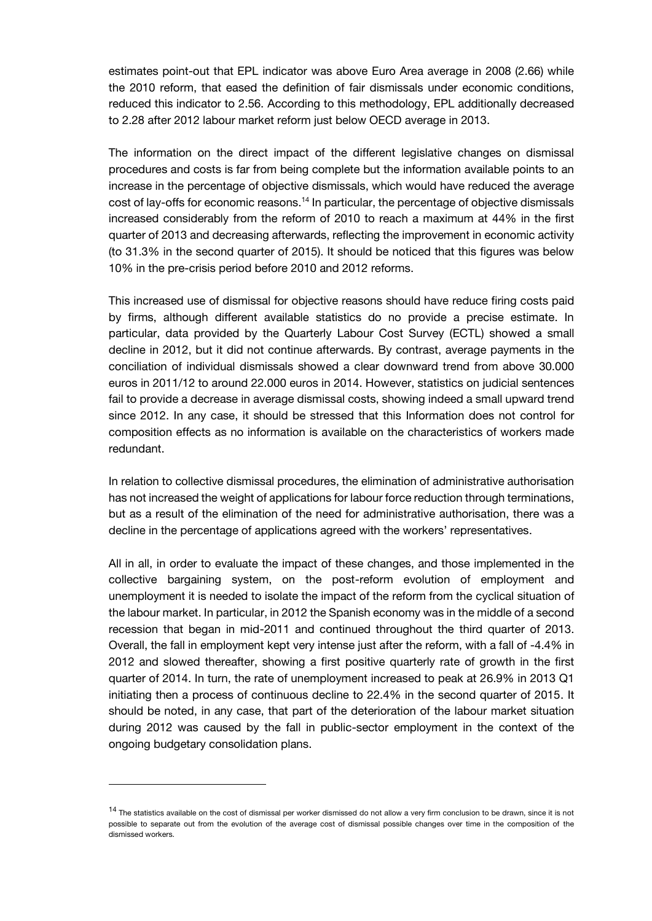estimates point-out that EPL indicator was above Euro Area average in 2008 (2.66) while the 2010 reform, that eased the definition of fair dismissals under economic conditions, reduced this indicator to 2.56. According to this methodology, EPL additionally decreased to 2.28 after 2012 labour market reform just below OECD average in 2013.

The information on the direct impact of the different legislative changes on dismissal procedures and costs is far from being complete but the information available points to an increase in the percentage of objective dismissals, which would have reduced the average cost of lay-offs for economic reasons.<sup>14</sup> In particular, the percentage of objective dismissals increased considerably from the reform of 2010 to reach a maximum at 44% in the first quarter of 2013 and decreasing afterwards, reflecting the improvement in economic activity (to 31.3% in the second quarter of 2015). It should be noticed that this figures was below 10% in the pre-crisis period before 2010 and 2012 reforms.

This increased use of dismissal for objective reasons should have reduce firing costs paid by firms, although different available statistics do no provide a precise estimate. In particular, data provided by the Quarterly Labour Cost Survey (ECTL) showed a small decline in 2012, but it did not continue afterwards. By contrast, average payments in the conciliation of individual dismissals showed a clear downward trend from above 30.000 euros in 2011/12 to around 22.000 euros in 2014. However, statistics on judicial sentences fail to provide a decrease in average dismissal costs, showing indeed a small upward trend since 2012. In any case, it should be stressed that this Information does not control for composition effects as no information is available on the characteristics of workers made redundant.

In relation to collective dismissal procedures, the elimination of administrative authorisation has not increased the weight of applications for labour force reduction through terminations, but as a result of the elimination of the need for administrative authorisation, there was a decline in the percentage of applications agreed with the workers' representatives.

All in all, in order to evaluate the impact of these changes, and those implemented in the collective bargaining system, on the post-reform evolution of employment and unemployment it is needed to isolate the impact of the reform from the cyclical situation of the labour market. In particular, in 2012 the Spanish economy was in the middle of a second recession that began in mid-2011 and continued throughout the third quarter of 2013. Overall, the fall in employment kept very intense just after the reform, with a fall of -4.4% in 2012 and slowed thereafter, showing a first positive quarterly rate of growth in the first quarter of 2014. In turn, the rate of unemployment increased to peak at 26.9% in 2013 Q1 initiating then a process of continuous decline to 22.4% in the second quarter of 2015. It should be noted, in any case, that part of the deterioration of the labour market situation during 2012 was caused by the fall in public-sector employment in the context of the ongoing budgetary consolidation plans.

<sup>&</sup>lt;sup>14</sup> The statistics available on the cost of dismissal per worker dismissed do not allow a very firm conclusion to be drawn, since it is not possible to separate out from the evolution of the average cost of dismissal possible changes over time in the composition of the dismissed workers.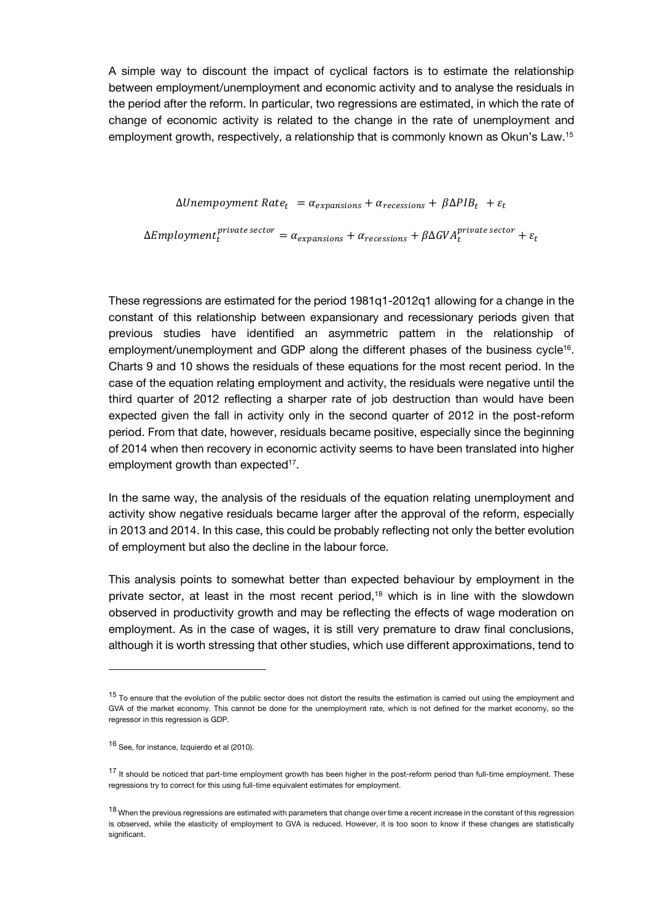A simple way to discount the impact of cyclical factors is to estimate the relationship between employment/unemployment and economic activity and to analyse the residuals in the period after the reform. In particular, two regressions are estimated, in which the rate of change of economic activity is related to the change in the rate of unemployment and employment growth, respectively, a relationship that is commonly known as Okun's Law.<sup>15</sup>

 $\Delta Unempoyment Rate_t = \alpha_{expansions} + \alpha_{recessions} + \beta \Delta PIB_t + \varepsilon_t$ 

 $\Delta Employment^{private\ sector}_t = \alpha_{expansions} + \alpha_{recessions} + \beta \Delta GVA^{private\ sector}_t + \varepsilon_t$ 

These regressions are estimated for the period 1981q1-2012q1 allowing for a change in the constant of this relationship between expansionary and recessionary periods given that previous studies have identified an asymmetric pattern in the relationship of employment/unemployment and GDP along the different phases of the business cycle<sup>16</sup>. Charts 9 and 10 shows the residuals of these equations for the most recent period. In the case of the equation relating employment and activity, the residuals were negative until the third quarter of 2012 reflecting a sharper rate of job destruction than would have been expected given the fall in activity only in the second quarter of 2012 in the post-reform period. From that date, however, residuals became positive, especially since the beginning of 2014 when then recovery in economic activity seems to have been translated into higher employment growth than expected<sup>17</sup>.

In the same way, the analysis of the residuals of the equation relating unemployment and activity show negative residuals became larger after the approval of the reform, especially in 2013 and 2014. In this case, this could be probably reflecting not only the better evolution of employment but also the decline in the labour force.

This analysis points to somewhat better than expected behaviour by employment in the private sector, at least in the most recent period,<sup>18</sup> which is in line with the slowdown observed in productivity growth and may be reflecting the effects of wage moderation on employment. As in the case of wages, it is still very premature to draw final conclusions, although it is worth stressing that other studies, which use different approximations, tend to

<sup>&</sup>lt;sup>15</sup> To ensure that the evolution of the public sector does not distort the results the estimation is carried out using the employment and GVA of the market economy. This cannot be done for the unemployment rate, which is not defined for the market economy, so the regressor in this regression is GDP.

<sup>16</sup> See, for instance, Izquierdo et al (2010).

<sup>&</sup>lt;sup>17</sup> It should be noticed that part-time employment growth has been higher in the post-reform period than full-time employment. These regressions try to correct for this using full-time equivalent estimates for employment.

<sup>18</sup> When the previous regressions are estimated with parameters that change over time a recent increase in the constant of this regression is observed, while the elasticity of employment to GVA is reduced. However, it is too soon to know if these changes are statistically significant.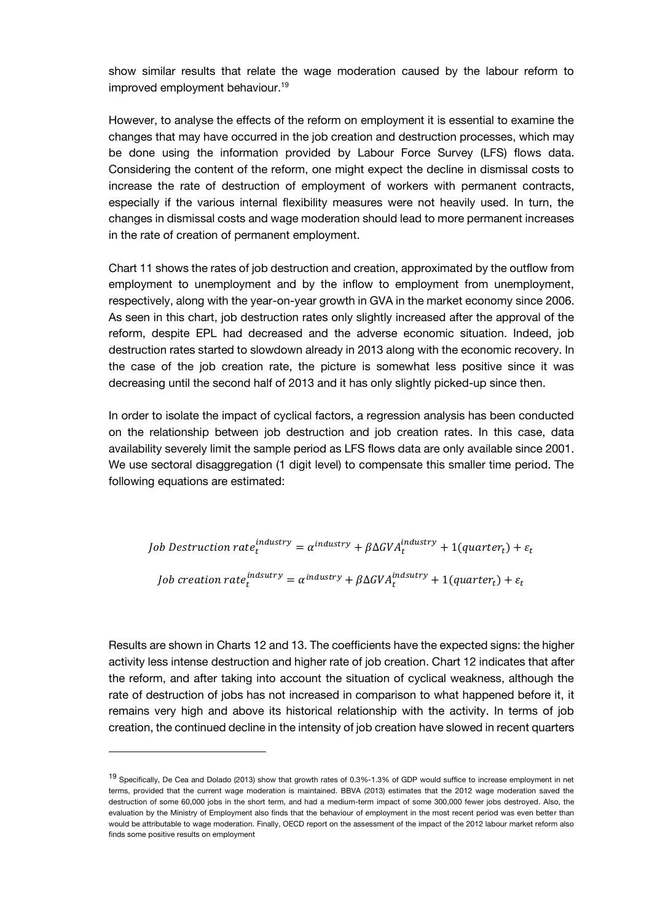show similar results that relate the wage moderation caused by the labour reform to improved employment behaviour.<sup>19</sup>

However, to analyse the effects of the reform on employment it is essential to examine the changes that may have occurred in the job creation and destruction processes, which may be done using the information provided by Labour Force Survey (LFS) flows data. Considering the content of the reform, one might expect the decline in dismissal costs to increase the rate of destruction of employment of workers with permanent contracts, especially if the various internal flexibility measures were not heavily used. In turn, the changes in dismissal costs and wage moderation should lead to more permanent increases in the rate of creation of permanent employment.

Chart 11 shows the rates of job destruction and creation, approximated by the outflow from employment to unemployment and by the inflow to employment from unemployment, respectively, along with the year-on-year growth in GVA in the market economy since 2006. As seen in this chart, job destruction rates only slightly increased after the approval of the reform, despite EPL had decreased and the adverse economic situation. Indeed, job destruction rates started to slowdown already in 2013 along with the economic recovery. In the case of the job creation rate, the picture is somewhat less positive since it was decreasing until the second half of 2013 and it has only slightly picked-up since then.

In order to isolate the impact of cyclical factors, a regression analysis has been conducted on the relationship between job destruction and job creation rates. In this case, data availability severely limit the sample period as LFS flows data are only available since 2001. We use sectoral disaggregation (1 digit level) to compensate this smaller time period. The following equations are estimated:

Job Destruction rate $_t^{industry} = \alpha^{industry} + \beta \Delta GVA_t^{industry} + 1 (quarter_t) + \varepsilon_t$ Job creation rat $e_t^{indsutry} = \alpha^{industry} + \beta \Delta GVA_t^{ind sutry} + 1 (quarter_t) + \varepsilon_t$ 

Results are shown in Charts 12 and 13. The coefficients have the expected signs: the higher activity less intense destruction and higher rate of job creation. Chart 12 indicates that after the reform, and after taking into account the situation of cyclical weakness, although the rate of destruction of jobs has not increased in comparison to what happened before it, it remains very high and above its historical relationship with the activity. In terms of job creation, the continued decline in the intensity of job creation have slowed in recent quarters

<sup>&</sup>lt;sup>19</sup> Specifically, De Cea and Dolado (2013) show that growth rates of 0.3%-1.3% of GDP would suffice to increase employment in net terms, provided that the current wage moderation is maintained. BBVA (2013) estimates that the 2012 wage moderation saved the destruction of some 60,000 jobs in the short term, and had a medium-term impact of some 300,000 fewer jobs destroyed. Also, the evaluation by the Ministry of Employment also finds that the behaviour of employment in the most recent period was even better than would be attributable to wage moderation. Finally, OECD report on the assessment of the impact of the 2012 labour market reform also finds some positive results on employment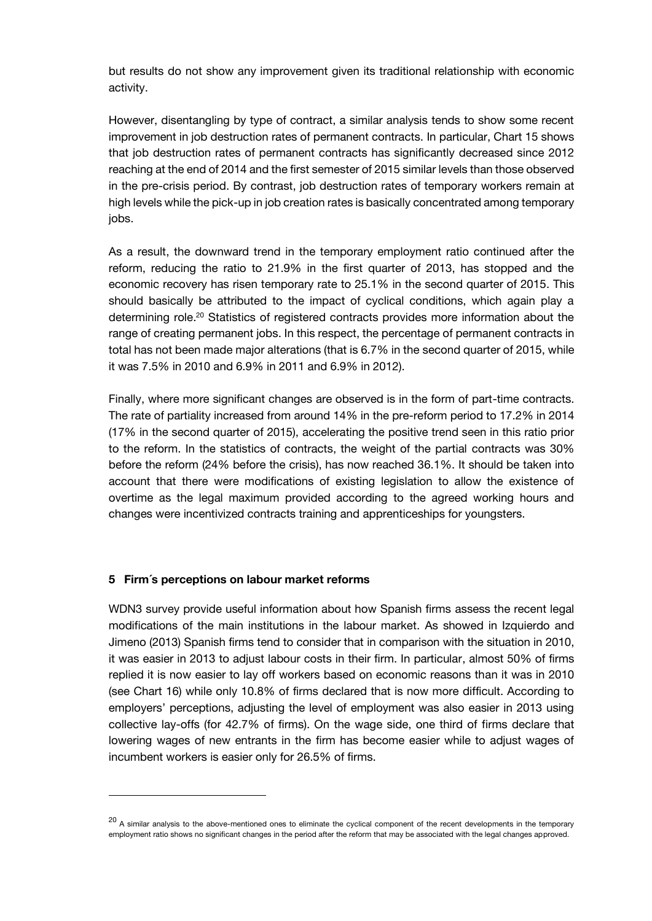but results do not show any improvement given its traditional relationship with economic activity.

However, disentangling by type of contract, a similar analysis tends to show some recent improvement in job destruction rates of permanent contracts. In particular, Chart 15 shows that job destruction rates of permanent contracts has significantly decreased since 2012 reaching at the end of 2014 and the first semester of 2015 similar levels than those observed in the pre-crisis period. By contrast, job destruction rates of temporary workers remain at high levels while the pick-up in job creation rates is basically concentrated among temporary jobs.

As a result, the downward trend in the temporary employment ratio continued after the reform, reducing the ratio to 21.9% in the first quarter of 2013, has stopped and the economic recovery has risen temporary rate to 25.1% in the second quarter of 2015. This should basically be attributed to the impact of cyclical conditions, which again play a determining role.<sup>20</sup> Statistics of registered contracts provides more information about the range of creating permanent jobs. In this respect, the percentage of permanent contracts in total has not been made major alterations (that is 6.7% in the second quarter of 2015, while it was 7.5% in 2010 and 6.9% in 2011 and 6.9% in 2012).

Finally, where more significant changes are observed is in the form of part-time contracts. The rate of partiality increased from around 14% in the pre-reform period to 17.2% in 2014 (17% in the second quarter of 2015), accelerating the positive trend seen in this ratio prior to the reform. In the statistics of contracts, the weight of the partial contracts was 30% before the reform (24% before the crisis), has now reached 36.1%. It should be taken into account that there were modifications of existing legislation to allow the existence of overtime as the legal maximum provided according to the agreed working hours and changes were incentivized contracts training and apprenticeships for youngsters.

### **5 Firm´s perceptions on labour market reforms**

WDN3 survey provide useful information about how Spanish firms assess the recent legal modifications of the main institutions in the labour market. As showed in Izquierdo and Jimeno (2013) Spanish firms tend to consider that in comparison with the situation in 2010, it was easier in 2013 to adjust labour costs in their firm. In particular, almost 50% of firms replied it is now easier to lay off workers based on economic reasons than it was in 2010 (see Chart 16) while only 10.8% of firms declared that is now more difficult. According to employers' perceptions, adjusting the level of employment was also easier in 2013 using collective lay-offs (for 42.7% of firms). On the wage side, one third of firms declare that lowering wages of new entrants in the firm has become easier while to adjust wages of incumbent workers is easier only for 26.5% of firms.

<sup>&</sup>lt;sup>20</sup> A similar analysis to the above-mentioned ones to eliminate the cyclical component of the recent developments in the temporary employment ratio shows no significant changes in the period after the reform that may be associated with the legal changes approved.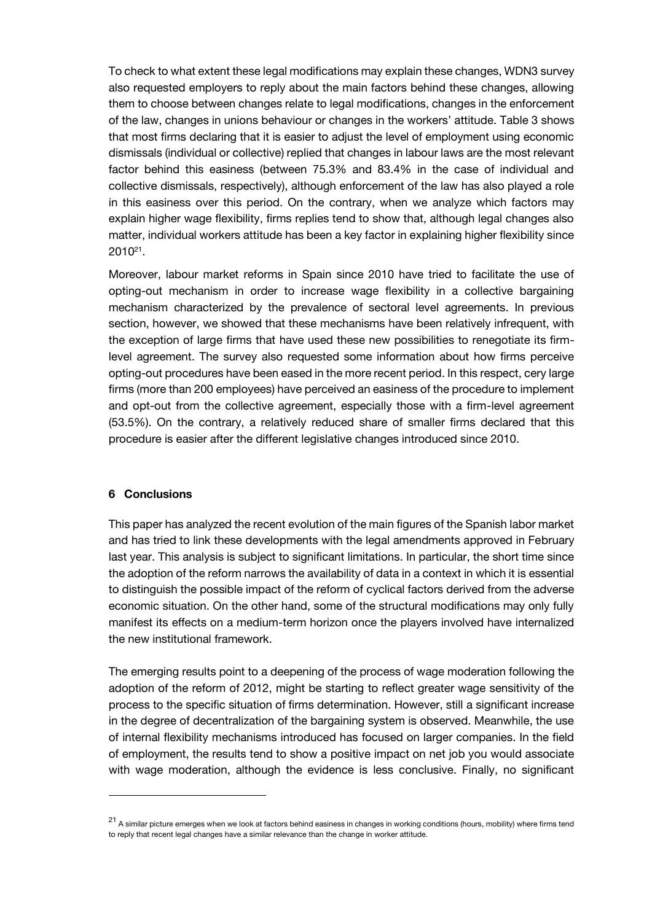To check to what extent these legal modifications may explain these changes, WDN3 survey also requested employers to reply about the main factors behind these changes, allowing them to choose between changes relate to legal modifications, changes in the enforcement of the law, changes in unions behaviour or changes in the workers' attitude. Table 3 shows that most firms declaring that it is easier to adjust the level of employment using economic dismissals (individual or collective) replied that changes in labour laws are the most relevant factor behind this easiness (between 75.3% and 83.4% in the case of individual and collective dismissals, respectively), although enforcement of the law has also played a role in this easiness over this period. On the contrary, when we analyze which factors may explain higher wage flexibility, firms replies tend to show that, although legal changes also matter, individual workers attitude has been a key factor in explaining higher flexibility since  $2010^{21}$ .

Moreover, labour market reforms in Spain since 2010 have tried to facilitate the use of opting-out mechanism in order to increase wage flexibility in a collective bargaining mechanism characterized by the prevalence of sectoral level agreements. In previous section, however, we showed that these mechanisms have been relatively infrequent, with the exception of large firms that have used these new possibilities to renegotiate its firmlevel agreement. The survey also requested some information about how firms perceive opting-out procedures have been eased in the more recent period. In this respect, cery large firms (more than 200 employees) have perceived an easiness of the procedure to implement and opt-out from the collective agreement, especially those with a firm-level agreement (53.5%). On the contrary, a relatively reduced share of smaller firms declared that this procedure is easier after the different legislative changes introduced since 2010.

### **6 Conclusions**

This paper has analyzed the recent evolution of the main figures of the Spanish labor market and has tried to link these developments with the legal amendments approved in February last year. This analysis is subject to significant limitations. In particular, the short time since the adoption of the reform narrows the availability of data in a context in which it is essential to distinguish the possible impact of the reform of cyclical factors derived from the adverse economic situation. On the other hand, some of the structural modifications may only fully manifest its effects on a medium-term horizon once the players involved have internalized the new institutional framework.

The emerging results point to a deepening of the process of wage moderation following the adoption of the reform of 2012, might be starting to reflect greater wage sensitivity of the process to the specific situation of firms determination. However, still a significant increase in the degree of decentralization of the bargaining system is observed. Meanwhile, the use of internal flexibility mechanisms introduced has focused on larger companies. In the field of employment, the results tend to show a positive impact on net job you would associate with wage moderation, although the evidence is less conclusive. Finally, no significant

<sup>&</sup>lt;sup>21</sup> A similar picture emerges when we look at factors behind easiness in changes in working conditions (hours, mobility) where firms tend to reply that recent legal changes have a similar relevance than the change in worker attitude.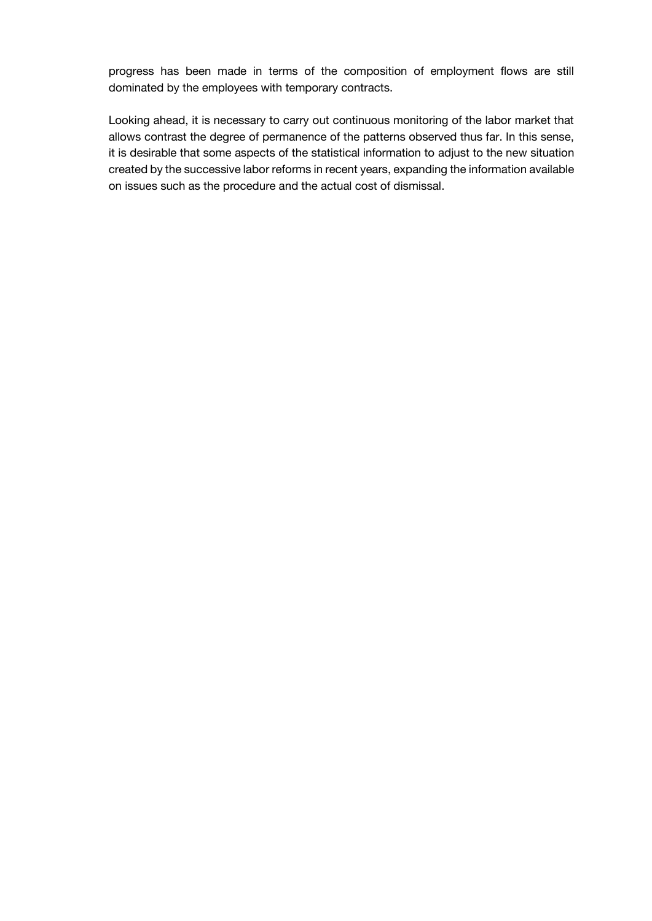progress has been made in terms of the composition of employment flows are still dominated by the employees with temporary contracts.

Looking ahead, it is necessary to carry out continuous monitoring of the labor market that allows contrast the degree of permanence of the patterns observed thus far. In this sense, it is desirable that some aspects of the statistical information to adjust to the new situation created by the successive labor reforms in recent years, expanding the information available on issues such as the procedure and the actual cost of dismissal.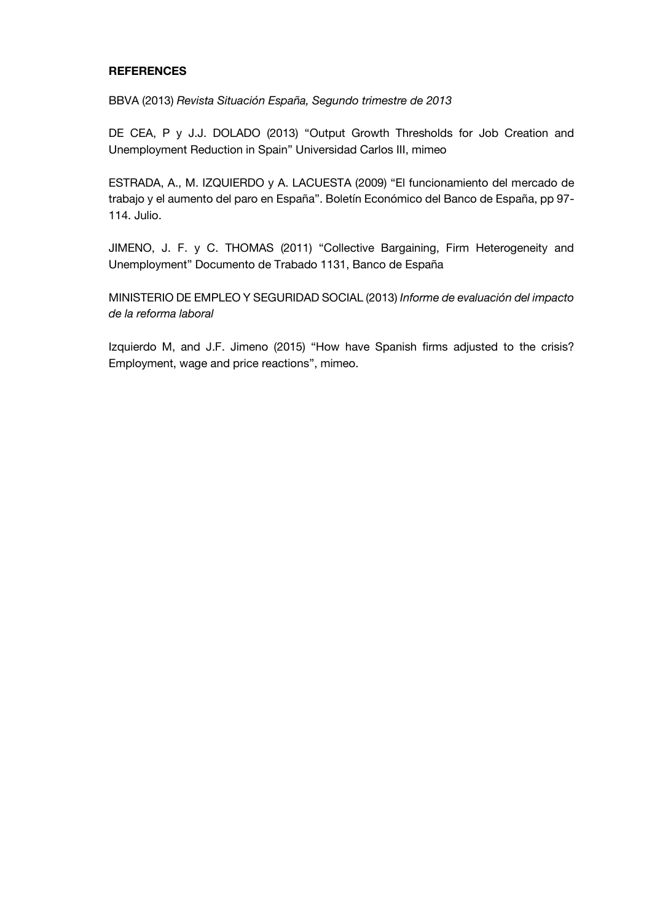# **REFERENCES**

BBVA (2013) *Revista Situación España, Segundo trimestre de 2013*

DE CEA, P y J.J. DOLADO (2013) "Output Growth Thresholds for Job Creation and Unemployment Reduction in Spain" Universidad Carlos III, mimeo

ESTRADA, A., M. IZQUIERDO y A. LACUESTA (2009) "El funcionamiento del mercado de trabajo y el aumento del paro en España". Boletín Económico del Banco de España, pp 97- 114. Julio.

JIMENO, J. F. y C. THOMAS (2011) "Collective Bargaining, Firm Heterogeneity and Unemployment" Documento de Trabado 1131, Banco de España

MINISTERIO DE EMPLEO Y SEGURIDAD SOCIAL (2013) *Informe de evaluación del impacto de la reforma laboral*

Izquierdo M, and J.F. Jimeno (2015) "How have Spanish firms adjusted to the crisis? Employment, wage and price reactions", mimeo.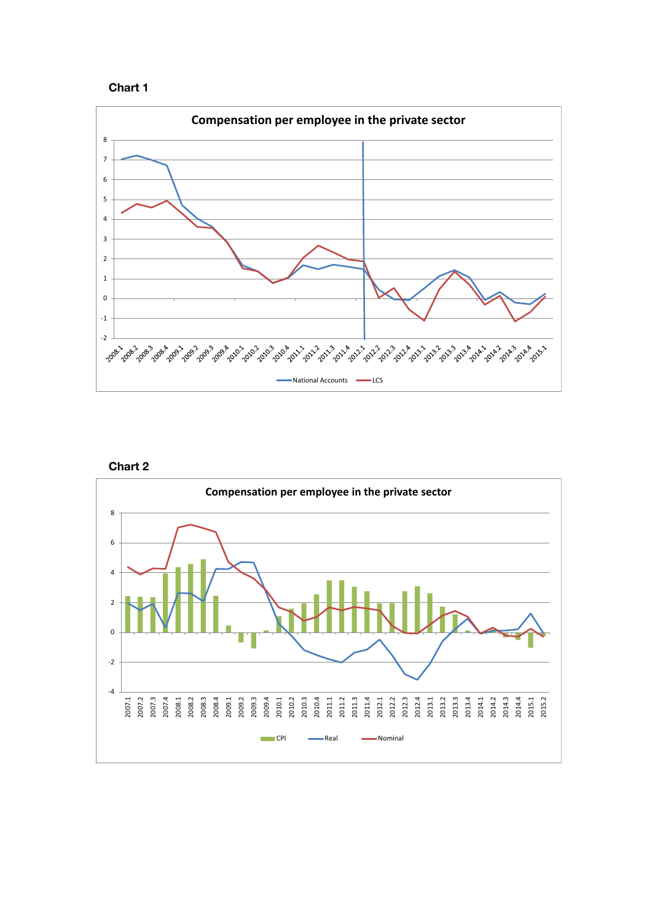





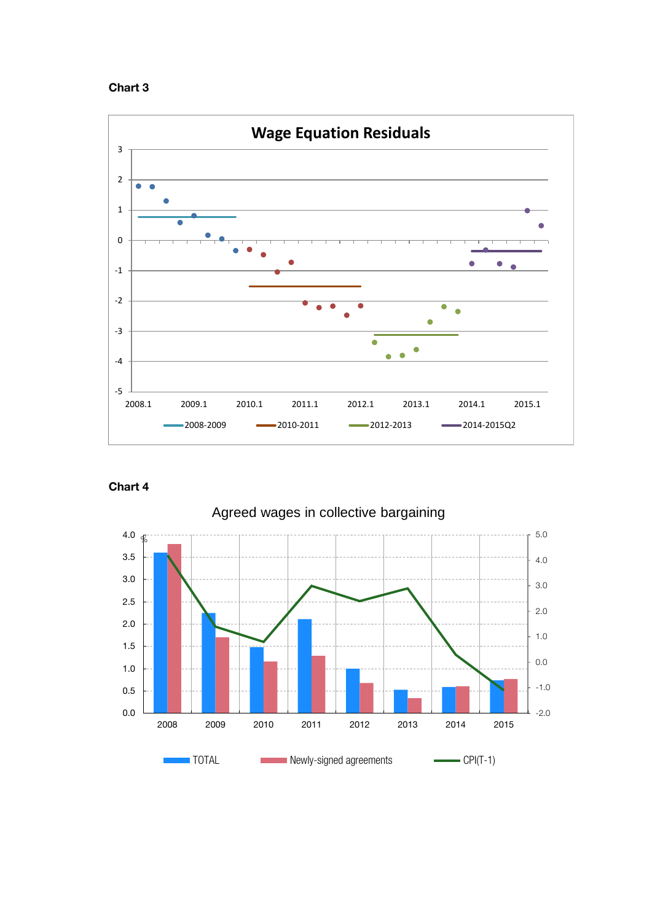





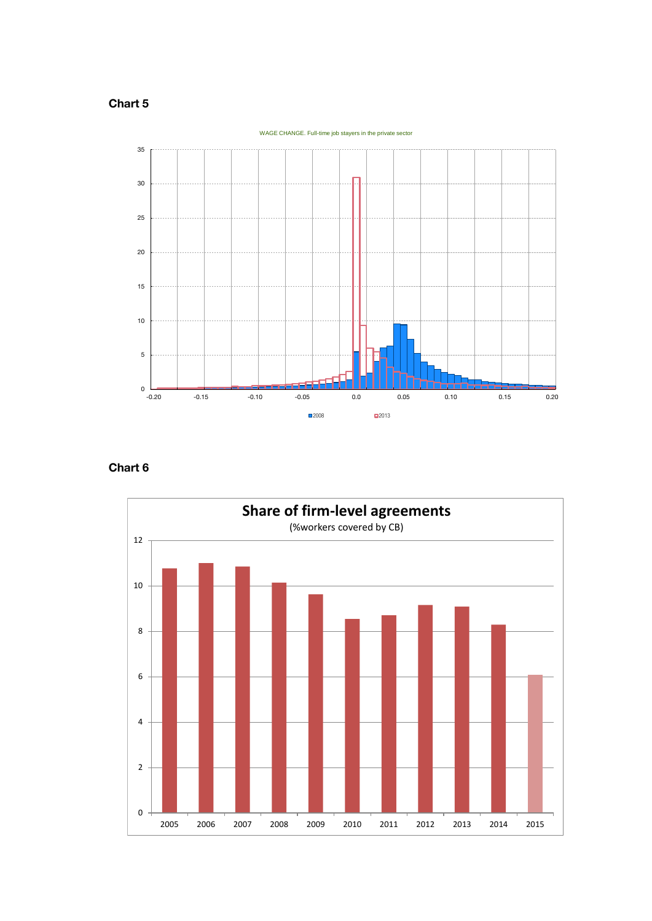

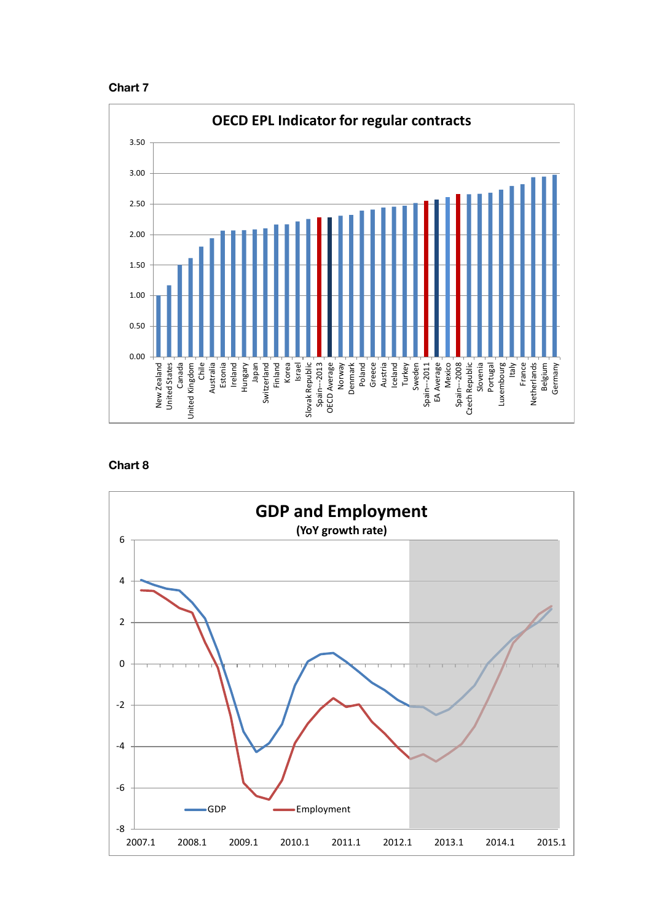



**Chart 8**

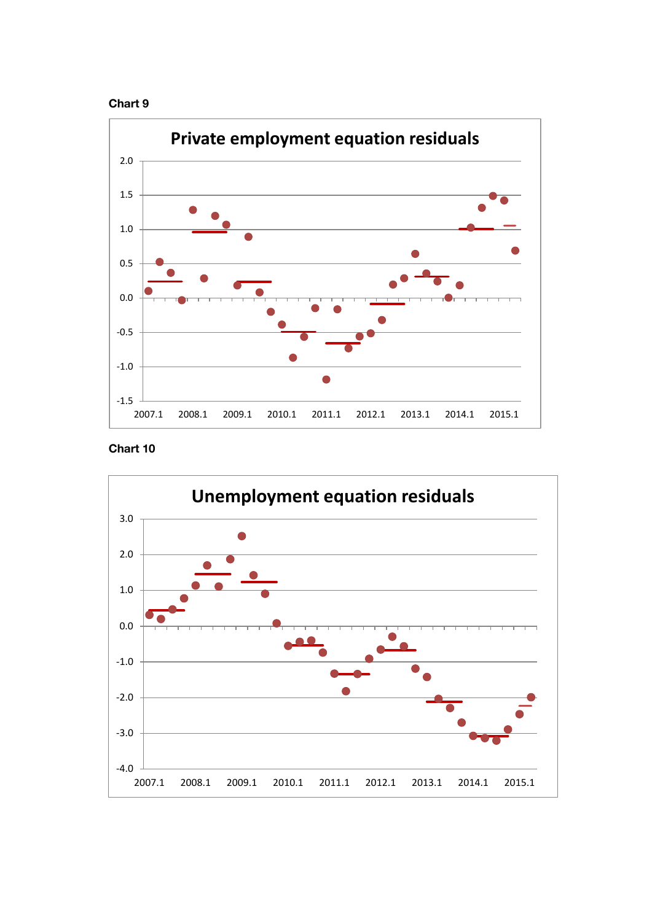



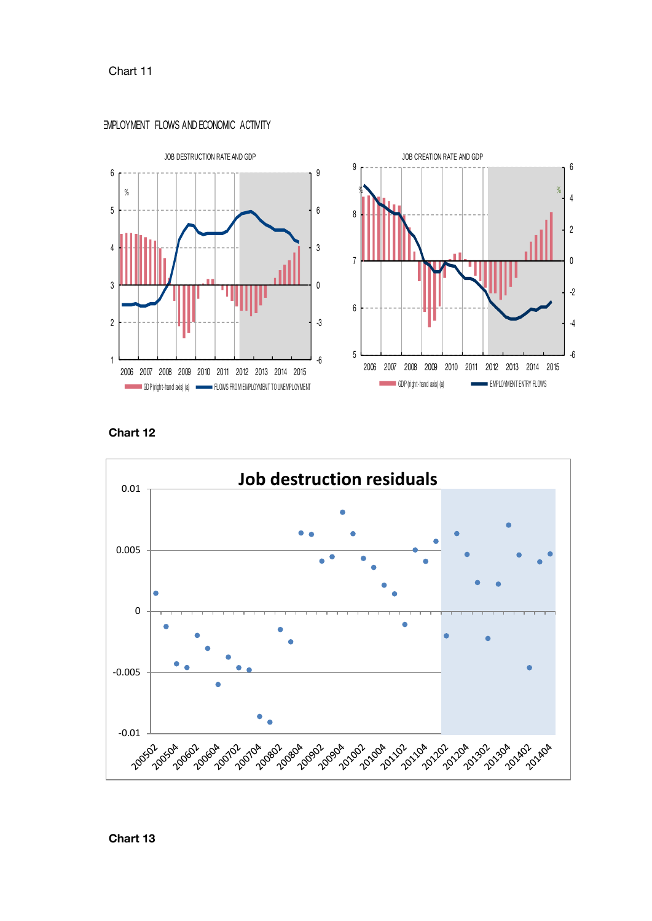







**Chart 12**

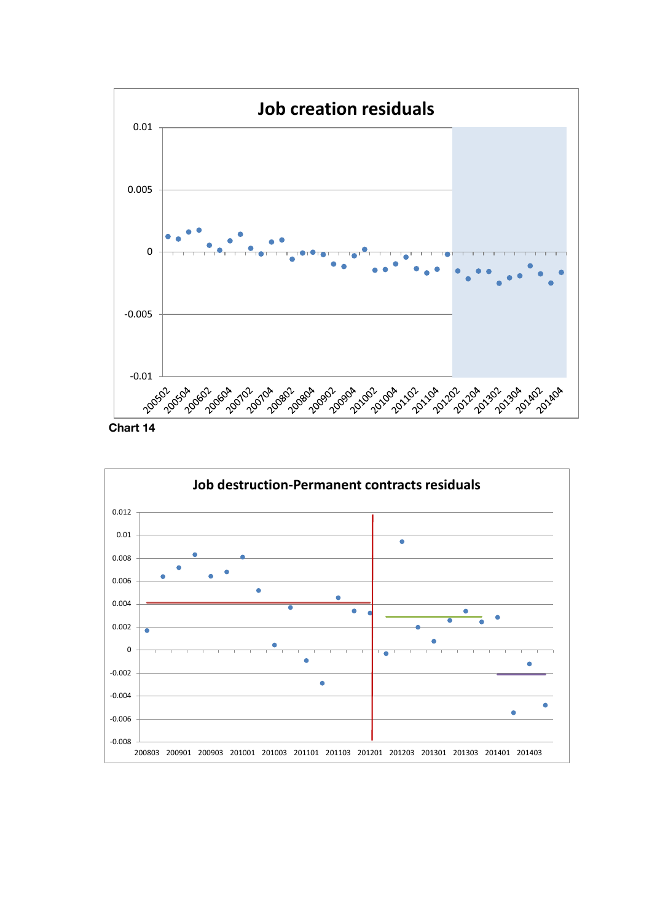

**Chart 14**

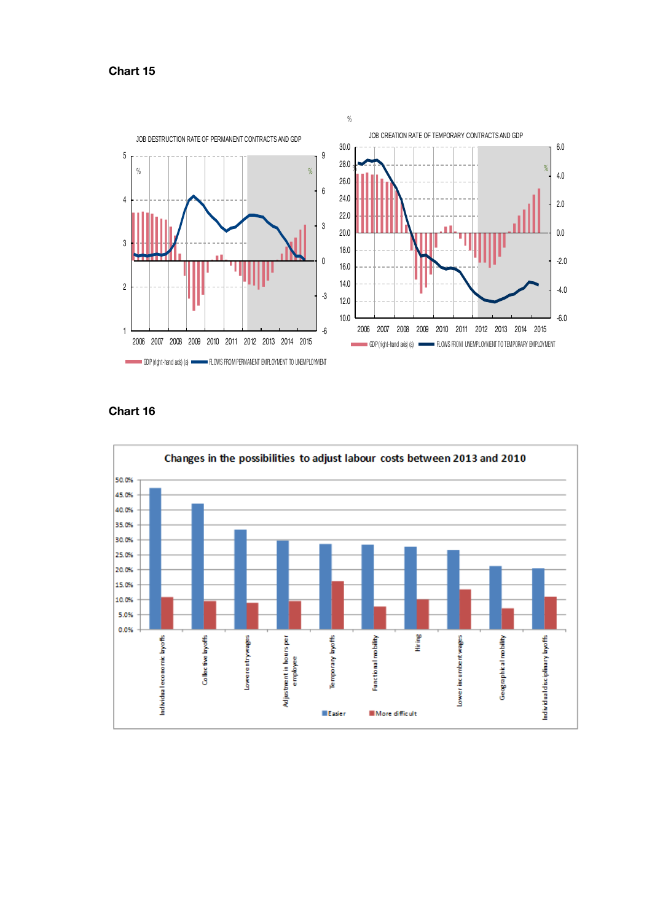



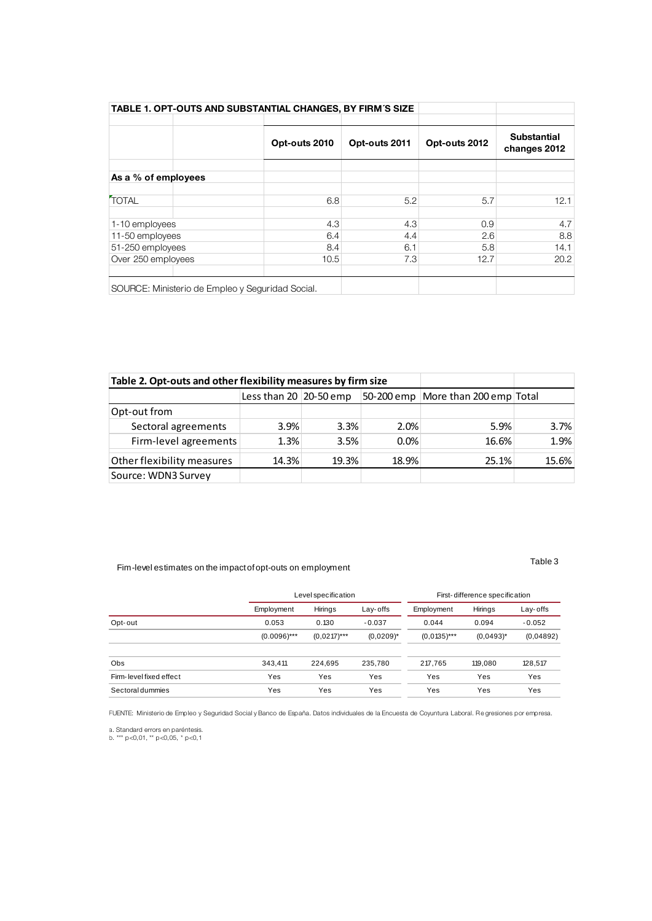| TABLE 1. OPT-OUTS AND SUBSTANTIAL CHANGES, BY FIRM'S SIZE |                                                  |               |               |               |                                    |
|-----------------------------------------------------------|--------------------------------------------------|---------------|---------------|---------------|------------------------------------|
|                                                           |                                                  | Opt-outs 2010 | Opt-outs 2011 | Opt-outs 2012 | <b>Substantial</b><br>changes 2012 |
| As a % of employees                                       |                                                  |               |               |               |                                    |
| <b>TOTAL</b>                                              |                                                  | 6.8           | 5.2           | 5.7           | 12.1                               |
| 1-10 employees                                            |                                                  | 4.3           | 4.3           | 0.9           | 4.7                                |
| 11-50 employees                                           |                                                  | 6.4           | 4.4           | 2.6           | 8.8                                |
| 51-250 employees                                          |                                                  | 8.4           | 6.1           | 5.8           | 14.1                               |
| Over 250 employees                                        |                                                  | 10.5          | 7.3           | 12.7          | 20.2                               |
|                                                           | SOURCE: Ministerio de Empleo y Seguridad Social. |               |               |               |                                    |

| Table 2. Opt-outs and other flexibility measures by firm size |                          |       |         |                                    |       |
|---------------------------------------------------------------|--------------------------|-------|---------|------------------------------------|-------|
|                                                               | Less than $20$ 20-50 emp |       |         | 50-200 emp More than 200 emp Total |       |
| Opt-out from                                                  |                          |       |         |                                    |       |
| Sectoral agreements                                           | 3.9%                     | 3.3%  | 2.0%    | 5.9%                               | 3.7%  |
| Firm-level agreements                                         | 1.3%                     | 3.5%  | $0.0\%$ | 16.6%                              | 1.9%  |
| Other flexibility measures                                    | 14.3%                    | 19.3% | 18.9%   | 25.1%                              | 15.6% |
| Source: WDN3 Survey                                           |                          |       |         |                                    |       |

# Fim-level estimates on the impact of opt-outs on employment Table 3

| Fim-level estimates on the impact of opt-outs on employment |                |                     |              |                |                                | Table 3   |  |
|-------------------------------------------------------------|----------------|---------------------|--------------|----------------|--------------------------------|-----------|--|
|                                                             |                | Level specification |              |                | First-difference specification |           |  |
|                                                             | Employment     | Hirings             | Lay-offs     | Employment     | Hirings                        | Lay-offs  |  |
| Opt-out                                                     | 0.053          | 0.130               | $-0.037$     | 0.044          | 0.094                          | $-0.052$  |  |
|                                                             | $(0.0096)$ *** | $(0.0217)$ ***      | $(0.0209)^*$ | $(0.0135)$ *** | $(0.0493)^{*}$                 | (0.04892) |  |
| <b>Obs</b>                                                  | 343.411        | 224.695             | 235.780      | 217.765        | 119.080                        | 128,517   |  |
| Firm-level fixed effect                                     | Yes            | Yes                 | Yes          | Yes            | Yes                            | Yes       |  |
| Sectoral dummies                                            | Yes            | Yes                 | Yes          | Yes            | Yes                            | Yes       |  |
|                                                             |                |                     |              |                |                                |           |  |

FUENTE: Ministerio de Empleo y Seguridad Social y Banco de España. Datos individuales de la Encuesta de Coyuntura Laboral. Re gresiones por empresa.

a. Standard errors en paréntesis. b. \*\*\* p<0,01, \*\* p<0,05, \* p<0,1